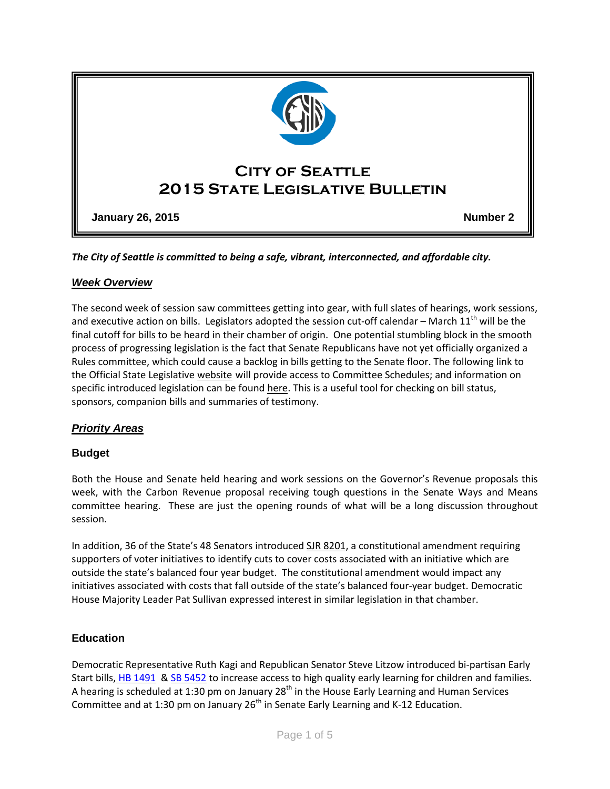

*The City of Seattle is committed to being a safe, vibrant, interconnected, and affordable city.* 

## *Week Overview*

The second week of session saw committees getting into gear, with full slates of hearings, work sessions, and executive action on bills. Legislators adopted the session cut-off calendar – March  $11<sup>th</sup>$  will be the final cutoff for bills to be heard in their chamber of origin. One potential stumbling block in the smooth process of progressing legislation is the fact that Senate Republicans have not yet officially organized a Rules committee, which could cause a backlog in bills getting to the Senate floor. The following link to the Official State Legislative [website](http://www.leg.wa.gov/) will provide access to Committee Schedules; and information on specific introduced legislation can be found [here.](http://app.leg.wa.gov/billinfo/) This is a useful tool for checking on bill status, sponsors, companion bills and summaries of testimony.

# *Priority Areas*

## **Budget**

Both the House and Senate held hearing and work sessions on the Governor's Revenue proposals this week, with the Carbon Revenue proposal receiving tough questions in the Senate Ways and Means committee hearing. These are just the opening rounds of what will be a long discussion throughout session.

In addition, 36 of the State's 48 Senators introduced SJR [8201,](http://app.leg.wa.gov/billinfo/summary.aspx?bill=8201&year=2015) a constitutional amendment requiring supporters of voter initiatives to identify cuts to cover costs associated with an initiative which are outside the state's balanced four year budget. The constitutional amendment would impact any initiatives associated with costs that fall outside of the state's balanced four-year budget. Democratic House Majority Leader Pat Sullivan expressed interest in similar legislation in that chamber.

## **Education**

Democratic Representative Ruth Kagi and Republican Senator Steve Litzow introduced bi-partisan Early Start bills, HB [1491](http://apps.leg.wa.gov/billinfo/summary.aspx?year=2015&bill=1491) & SB [5452](http://app.leg.wa.gov/billinfo/summary.aspx?bill=5452&year=2015) to increase access to high quality early learning for children and families. A hearing is scheduled at 1:30 pm on January 28<sup>th</sup> in the House Early Learning and Human Services Committee and at 1:30 pm on January 26<sup>th</sup> in Senate Early Learning and K-12 Education.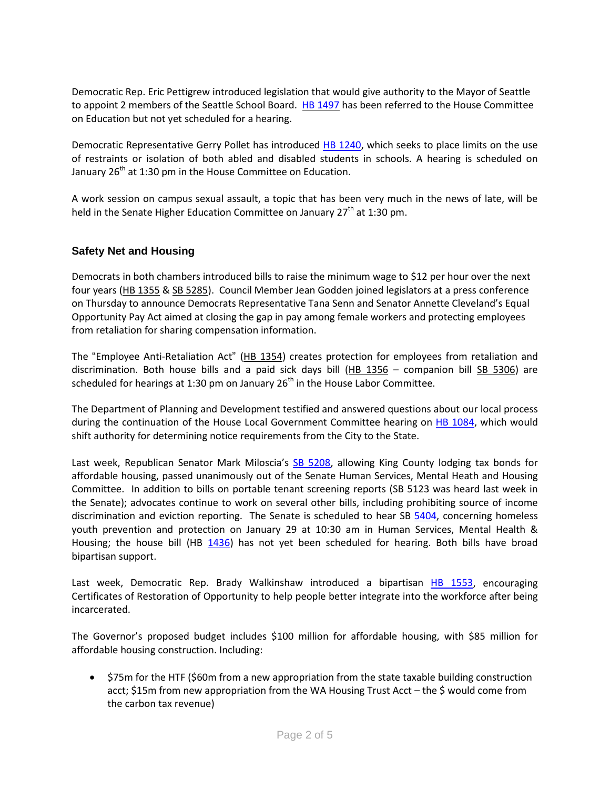Democratic Rep. Eric Pettigrew introduced legislation that would give authority to the Mayor of Seattle to appoint 2 members of the Seattle School Board. HB [1497](http://app.leg.wa.gov/DLR/billsummary/default.aspx?Bill=1497&year=2015) has been referred to the House Committee on Education but not yet scheduled for a hearing.

Democratic Representative Gerry Pollet has introduced [HB 1240,](http://lawfilesext.leg.wa.gov/biennium/2015-16/Pdf/Bill%20Reports/House/1240%20HBA%20ED%2015.pdf) which seeks to place limits on the use of restraints or isolation of both abled and disabled students in schools. A hearing is scheduled on January  $26<sup>th</sup>$  at 1:30 pm in the House Committee on Education.

A work session on campus sexual assault, a topic that has been very much in the news of late, will be held in the Senate Higher Education Committee on January  $27<sup>th</sup>$  at 1:30 pm.

## **Safety Net and Housing**

Democrats in both chambers introduced bills to raise the minimum wage to \$12 per hour over the next four years (HB [1355](http://app.leg.wa.gov/billinfo/summary.aspx?bill=1355&year=2015) & SB [5285\)](http://app.leg.wa.gov/billinfo/summary.aspx?bill=5285&year=2015). Council Member Jean Godden joined legislators at a press conference on Thursday to announce Democrats Representative Tana Senn and Senator Annette Cleveland's Equal Opportunity Pay Act aimed at closing the gap in pay among female workers and protecting employees from retaliation for sharing compensation information.

The "Employee Anti-Retaliation Act" [\(HB 1354\)](http://app.leg.wa.gov/billinfo/summary.aspx?bill=1354&year=2015) creates protection for employees from retaliation and discrimination. Both house bills and a paid sick days bill [\(HB 1356](http://app.leg.wa.gov/billinfo/summary.aspx?bill=1356&year=2015) – companion bill [SB 5306\)](http://app.leg.wa.gov/billinfo/summary.aspx?bill=5306&year=2015) are scheduled for hearings at 1:30 pm on January  $26<sup>th</sup>$  in the House Labor Committee.

The Department of Planning and Development testified and answered questions about our local process during the continuation of the House Local Government Committee hearing on [HB 1084,](http://lawfilesext.leg.wa.gov/biennium/2015-16/Pdf/Bill%20Reports/House/1084%20HBA%20LG%2015.pdf) which would shift authority for determining notice requirements from the City to the State.

Last week, Republican Senator Mark Miloscia's [SB 5208,](http://app.leg.wa.gov/billinfo/summary.aspx?bill=5208&year=2015) allowing King County lodging tax bonds for affordable housing, passed unanimously out of the Senate Human Services, Mental Heath and Housing Committee. In addition to bills on portable tenant screening reports (SB 5123 was heard last week in the Senate); advocates continue to work on several other bills, including prohibiting source of income discrimination and eviction reporting. The Senate is scheduled to hear SB [5404,](http://app.leg.wa.gov/billinfo/summary.aspx?bill=5404&year=2015) concerning homeless youth prevention and protection on January 29 at 10:30 am in Human Services, Mental Health & Housing; the house bill (HB [1436\)](http://app.leg.wa.gov/billinfo/summary.aspx?bill=1436&year=2015) has not yet been scheduled for hearing. Both bills have broad bipartisan support.

Last week, Democratic Rep. Brady Walkinshaw introduced a bipartisan [HB 1553,](http://app.leg.wa.gov/billinfo/summary.aspx?bill=1553&year=2015) encouraging Certificates of Restoration of Opportunity to help people better integrate into the workforce after being incarcerated.

The Governor's proposed budget includes \$100 million for affordable housing, with \$85 million for affordable housing construction. Including:

• \$75m for the HTF (\$60m from a new appropriation from the state taxable building construction acct; \$15m from new appropriation from the WA Housing Trust Acct – the \$ would come from the carbon tax revenue)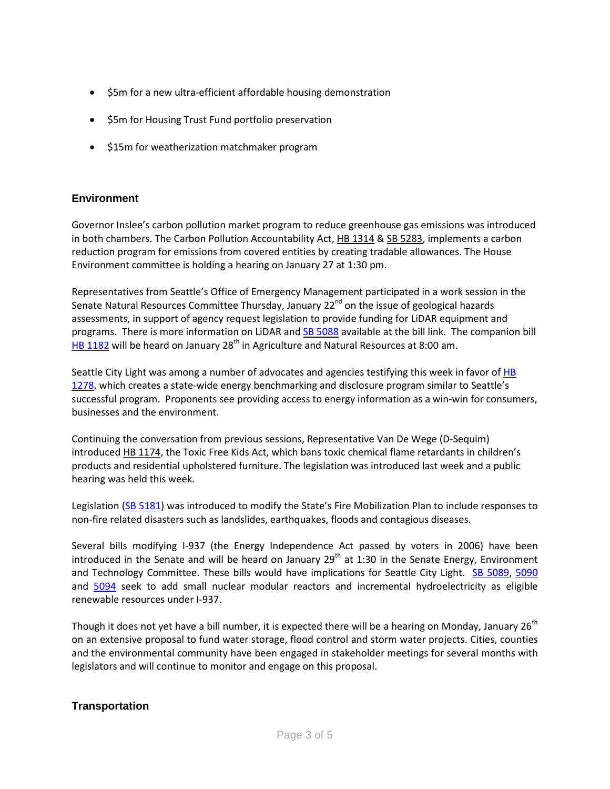- \$5m for a new ultra-efficient affordable housing demonstration
- \$5m for Housing Trust Fund portfolio preservation
- \$15m for weatherization matchmaker program

#### **Environment**

Governor Inslee's carbon pollution market program to reduce greenhouse gas emissions was introduced in both chambers. The Carbon Pollution Accountability Act, HB [1314](http://app.leg.wa.gov/billinfo/summary.aspx?bill=1314&year=2015) & SB [5283,](http://app.leg.wa.gov/billinfo/summary.aspx?bill=5283&year=2015) implements a carbon reduction program for emissions from covered entities by creating tradable allowances. The House Environment committee is holding a hearing on January 27 at 1:30 pm.

Representatives from Seattle's Office of Emergency Management participated in a work session in the Senate Natural Resources Committee Thursday, January 22<sup>nd</sup> on the issue of geological hazards assessments, in support of agency request legislation to provide funding for LiDAR equipment and programs. There is more information on LiDAR and **SB [5088](http://app.leg.wa.gov/billinfo/summary.aspx?bill=5088&year=2015)** available at the bill link. The companion bill HB [1182](http://app.leg.wa.gov/billinfo/summary.aspx?bill=1182&year=2015) will be heard on January 28<sup>th</sup> in Agriculture and Natural Resources at 8:00 am.

Seattle City Light was among a number of advocates and agencies testifying this week in favor of [HB](http://app.leg.wa.gov/billinfo/summary.aspx?bill=1278&year=2015) [1278,](http://app.leg.wa.gov/billinfo/summary.aspx?bill=1278&year=2015) which creates a state-wide energy benchmarking and disclosure program similar to Seattle's successful program. Proponents see providing access to energy information as a win-win for consumers, businesses and the environment.

Continuing the conversation from previous sessions, Representative Van De Wege (D-Sequim) introduced HB [1174,](http://app.leg.wa.gov/billinfo/summary.aspx?bill=1174&year=2015) the Toxic Free Kids Act, which bans toxic chemical flame retardants in children's products and residential upholstered furniture. The legislation was introduced last week and a public hearing was held this week.

Legislation [\(SB 5181\)](http://app.leg.wa.gov/billinfo/summary.aspx?bill=5181&year=2015) was introduced to modify the State's Fire Mobilization Plan to include responses to non-fire related disasters such as landslides, earthquakes, floods and contagious diseases.

Several bills modifying I-937 (the Energy Independence Act passed by voters in 2006) have been introduced in the Senate and will be heard on January  $29<sup>th</sup>$  at 1:30 in the Senate Energy, Environment and Technology Committee. These bills would have implications for Seattle City Light. [SB 5089,](http://app.leg.wa.gov/billinfo/summary.aspx?bill=5089&year=2015) [5090](http://app.leg.wa.gov/billinfo/summary.aspx?bill=5090&year=2015) and [5094](http://app.leg.wa.gov/billinfo/summary.aspx?bill=5094&year=2015) seek to add small nuclear modular reactors and incremental hydroelectricity as eligible renewable resources under I-937.

Though it does not yet have a bill number, it is expected there will be a hearing on Monday, January 26<sup>th</sup> on an extensive proposal to fund water storage, flood control and storm water projects. Cities, counties and the environmental community have been engaged in stakeholder meetings for several months with legislators and will continue to monitor and engage on this proposal.

#### **Transportation**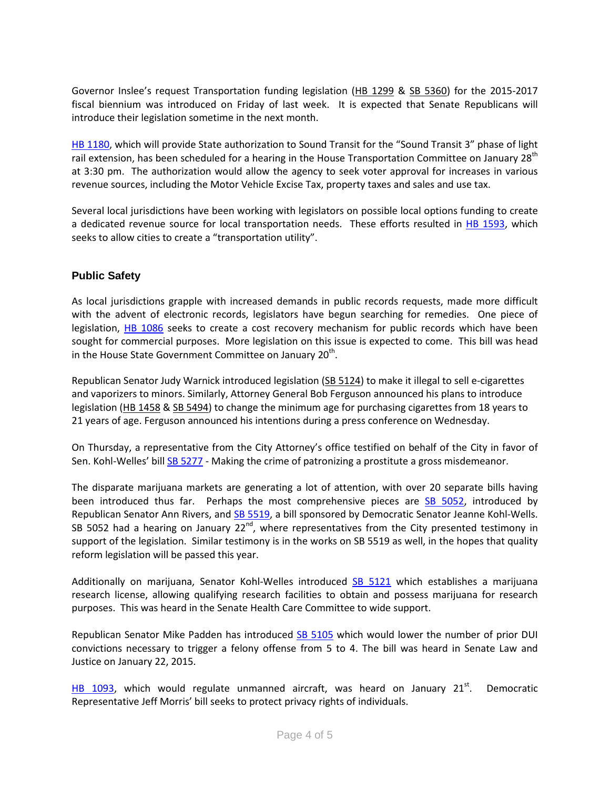Governor Inslee's request Transportation funding legislation [\(HB 1299](http://app.leg.wa.gov/billinfo/summary.aspx?bill=1299&year=2015) & [SB 5360\)](http://app.leg.wa.gov/billinfo/summary.aspx?bill=5360&year=2015) for the 2015-2017 fiscal biennium was introduced on Friday of last week. It is expected that Senate Republicans will introduce their legislation sometime in the next month.

[HB 1180,](http://app.leg.wa.gov/billinfo/summary.aspx?bill=1180&year=2015) which will provide State authorization to Sound Transit for the "Sound Transit 3" phase of light rail extension, has been scheduled for a hearing in the House Transportation Committee on January 28<sup>th</sup> at 3:30 pm. The authorization would allow the agency to seek voter approval for increases in various revenue sources, including the Motor Vehicle Excise Tax, property taxes and sales and use tax.

Several local jurisdictions have been working with legislators on possible local options funding to create a dedicated revenue source for local transportation needs. These efforts resulted in [HB 1593,](http://app.leg.wa.gov/billinfo/summary.aspx?bill=1593&year=2015) which seeks to allow cities to create a "transportation utility".

#### **Public Safety**

As local jurisdictions grapple with increased demands in public records requests, made more difficult with the advent of electronic records, legislators have begun searching for remedies. One piece of legislation, [HB 1086](http://app.leg.wa.gov/billinfo/summary.aspx?bill=1086&year=2015) seeks to create a cost recovery mechanism for public records which have been sought for commercial purposes. More legislation on this issue is expected to come. This bill was head in the House State Government Committee on January  $20<sup>th</sup>$ .

Republican Senator Judy Warnick introduced legislation (SB [5124\)](http://app.leg.wa.gov/billinfo/summary.aspx?bill=5124&year=2015) to make it illegal to sell e-cigarettes and vaporizers to minors. Similarly, Attorney General Bob Ferguson announced his plans to introduce legislation (HB [1458](http://app.leg.wa.gov/billinfo/summary.aspx?bill=1458&year=2015) & SB [5494\)](http://app.leg.wa.gov/billinfo/summary.aspx?bill=5494&year=2015) to change the minimum age for purchasing cigarettes from 18 years to 21 years of age. Ferguson announced his intentions during a press conference on Wednesday.

On Thursday, a representative from the City Attorney's office testified on behalf of the City in favor of Sen. Kohl-Welles' bill [SB 5277](http://links.govdelivery.com/track?type=click&enid=ZWFzPTEmbWFpbGluZ2lkPTIwMTUwMTIxLjQwNTcwNzYxJm1lc3NhZ2VpZD1NREItUFJELUJVTC0yMDE1MDEyMS40MDU3MDc2MSZkYXRhYmFzZWlkPTEwMDEmc2VyaWFsPTE3MzYyNjIyJmVtYWlsaWQ9YmlhbmNhLnRvcnJlc0BzZWF0dGxlLmdvdiZ1c2VyaWQ9YmlhbmNhLnRvcnJlc0BzZWF0dGxlLmdvdiZmbD0mZXh0cmE9TXVsdGl2YXJpYXRlSWQ9JiYm&&&157&&&http://apps.leg.wa.gov/billinfo/summary.aspx?year=2015&bill=5277) - Making the crime of patronizing a prostitute a gross misdemeanor.

The disparate marijuana markets are generating a lot of attention, with over 20 separate bills having been introduced thus far. Perhaps the most comprehensive pieces are [SB 5052,](http://app.leg.wa.gov/billinfo/summary.aspx?bill=5052&year=2015) introduced by Republican Senator Ann Rivers, an[d SB 5519,](http://lawfilesext.leg.wa.gov/biennium/2015-16/Pdf/Bills/Senate%20Bills/5519.pdf) a bill sponsored by Democratic Senator Jeanne Kohl-Wells. SB 5052 had a hearing on January  $22^{nd}$ , where representatives from the City presented testimony in support of the legislation. Similar testimony is in the works on SB 5519 as well, in the hopes that quality reform legislation will be passed this year.

Additionally on marijuana, Senator Kohl-Welles introduced [SB 5121](http://apps.leg.wa.gov/billinfo/summary.aspx?bill=5121&year=2015) which establishes a marijuana research license, allowing qualifying research facilities to obtain and possess marijuana for research purposes. This was heard in the Senate Health Care Committee to wide support.

Republican Senator Mike Padden has introduced [SB 5105](http://app.leg.wa.gov/billinfo/summary.aspx?year=2015&bill=5105) which would lower the number of prior DUI convictions necessary to trigger a felony offense from 5 to 4. The bill was heard in Senate Law and Justice on January 22, 2015.

[HB 1093,](http://apps.leg.wa.gov/billinfo/summary.aspx?bill=1093&year=2015) which would regulate unmanned aircraft, was heard on January  $21^{st}$ . Democratic Representative Jeff Morris' bill seeks to protect privacy rights of individuals.